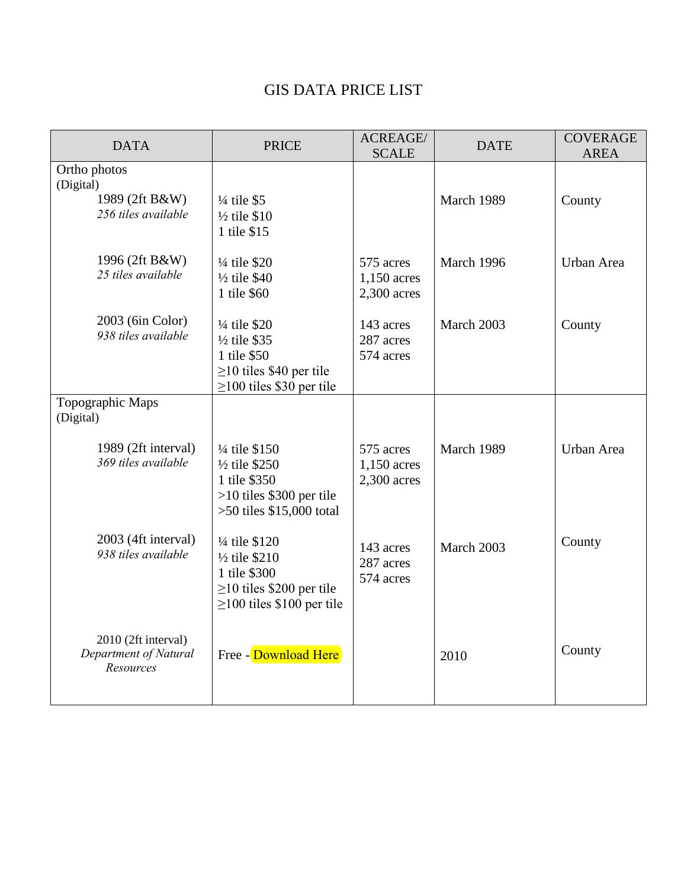## GIS DATA PRICE LIST

| <b>DATA</b>                                               | <b>PRICE</b>                                                                                                                    | ACREAGE/<br><b>SCALE</b>                  | <b>DATE</b> | <b>COVERAGE</b><br><b>AREA</b> |
|-----------------------------------------------------------|---------------------------------------------------------------------------------------------------------------------------------|-------------------------------------------|-------------|--------------------------------|
| Ortho photos                                              |                                                                                                                                 |                                           |             |                                |
| (Digital)<br>1989 (2ft B&W)<br>256 tiles available        | $\frac{1}{4}$ tile \$5<br>$\frac{1}{2}$ tile \$10<br>1 tile \$15                                                                |                                           | March 1989  | County                         |
| 1996 (2ft B&W)<br>25 tiles available                      | 1/4 tile \$20<br>$\frac{1}{2}$ tile \$40<br>1 tile \$60                                                                         | 575 acres<br>1,150 acres<br>$2,300$ acres | March 1996  | Urban Area                     |
| 2003 (6in Color)<br>938 tiles available                   | 1/4 tile \$20<br>1/2 tile \$35<br>1 tile \$50<br>$\geq$ 10 tiles \$40 per tile<br>$\geq$ 100 tiles \$30 per tile                | 143 acres<br>287 acres<br>574 acres       | March 2003  | County                         |
| Topographic Maps<br>(Digital)                             |                                                                                                                                 |                                           |             |                                |
| 1989 (2ft interval)<br>369 tiles available                | 1/4 tile \$150<br>$\frac{1}{2}$ tile \$250<br>1 tile \$350<br>$>10$ tiles \$300 per tile<br>$>50$ tiles $$15,000$ total         | 575 acres<br>1,150 acres<br>2,300 acres   | March 1989  | Urban Area                     |
| 2003 (4ft interval)<br>938 tiles available                | 1/4 tile \$120<br>$\frac{1}{2}$ tile \$210<br>1 tile \$300<br>$\geq$ 10 tiles \$200 per tile<br>$\geq$ 100 tiles \$100 per tile | 143 acres<br>287 acres<br>574 acres       | March 2003  | County                         |
| 2010 (2ft interval)<br>Department of Natural<br>Resources | Free - Download Here                                                                                                            |                                           | 2010        | County                         |